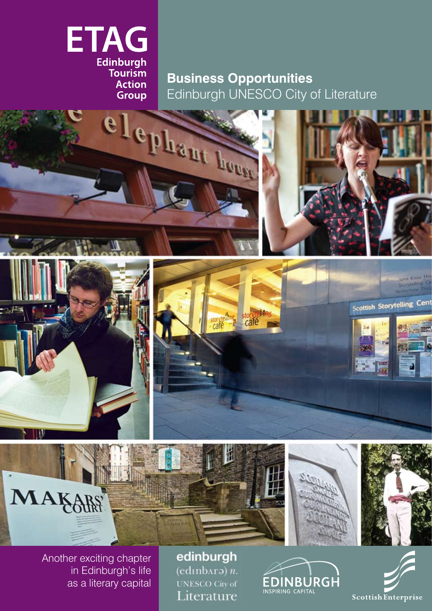

# **Business Opportunities** Edinburgh UNESCO City of Literature



Another exciting chapter in Edinburgh's life as a literary capital

edinburgh  $(edinbaro) n.$ **UNESCO City of** Literature

EDINBURGH

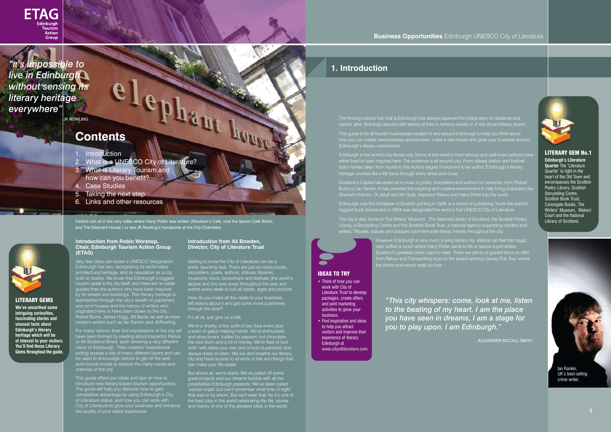#### **Introduction from Robin Worsnop, Chair, Edinburgh Tourism Action Group (ETAG)**

Very few cities can boast a UNESCO designation. Edinburgh has two, recognising its world-class architectural heritage, and its reputation as a city built on books. We know that Edinburgh's biggest tourism asset is the city itself, and there are no better guides than the authors who have been inspired by its streets and buildings. This literary heritage is exemplified through the city's wealth of publishers and print houses and the history of writers who originated here or have been drawn to the city; Robert Burns, James Hogg, JM Barrie, as well as more modern writers such as Ian Rankin and JKRowling.

For many visitors, their first impressions of the city will have been formed by reading about Inspector Rebus or 44 Scotland Street, each showing a very different vision of Edinburgh. Their creators' inspirational writing reveals a city of many different layers and can be used to encourage visitors to get off the wellworn tourist routes to explore the many nooks and crannies of the city.

We're a charity, a tiny outfit of two (twa even) plus a team of gallus helping hands. We're enthusiasts and story-lovers, fuelled by passion, hot chocolate, the odd dram and a bit of money. We're fleet of foot, birlin' with ideas (our own and a host of partners) and always ready to listen. We live and breathe our literary city and have access to all sorts of folk and things that **can make your life easier.** 

This guide offers you ideas and tips on how to introduce new literary-based tourism opportunities. The guide will help you discover how to gain competitive advantage by using Edinburgh's City of Literature status, and how you can work with City of Literature to grow your business and enhance the quality of your visitor experience.

#### **Introduction from Ali Bowden, Director, City of Literature Trust**

Getting to know the City of Literature can be a pretty daunting task. There are just so many books, storytellers, poets, authors, statues, libraries, museums, tours, bookshops and festivals (the world's largest and tiny wee ones) throughout the year and events every week to suit all tastes, ages and pockets.

How do you make all this relate to your business, tell visitors about it and get some more customers through the door?

#### It's all ok, just give us a bell.

But above all, we're doers. We've pulled off some great projects and our dreams bubble with all the possibilities Edinburgh presents. We've been called 'sonsie ninjas' but can't remember what time of night that was or by whom. But we'll wear that, for it's one of the best jobs in the world celebrating the life, stories and history of one of the greatest cities in the world.

- Think of how you can work with City of Literature Trust to develop packages, create offers and joint marketing activities to grow your business.
- Find inspiration and ideas to help you attract visitors and improve their experience of literary Edinburgh at **www.cityofliterature.com**

#### **Business Opportunities** Edinburgh UNESCO City of Literature

Visitors can sit in the very cafés where Harry Potter was written (Nicolson's Café, now the Spoon Café Bistro, and The Elephant House ) or see JK Rowling's handprints at the City Chambers

# **1. Introduction**

- 1. Introduction
- 2. What is a UNESCO City of Literature?
- 3. What is Literary Tourism and
- how can you benefit?
- 4. Case Studies
- 5. Taking the next step
- 6. Links and other resources

# **Contents**

Ian Rankin,

UK's best-selling crime writer.

The thriving cultural hub that is Edinburgh has always captured the imagination of residents and visitors alike. Buildings abound with stories of links to famous novels or of the vibrant literary scene.

This guide is for all tourism businesses located in and around Edinburgh to help you think about how you can create new business opportunities, make a real impact and grow your business around Edinburgh's literary connections.

Edinburgh is the world's top literary city. Some of the world's most famous and well-loved authors have either lived or been inspired here. The evidence is all around you. From railway station and football team names taken from novels to the world's largest monument to an author, Edinburgh's literary heritage courses like a life force through every street and close.

Scotland's Capital has acted as a muse to poets, storytellers and authors for centuries, from Robert Burns to Ian Rankin. It has provided the inspiring and creative environment to help bring characters like Sherlock Holmes, Dr Jekyll and Mr Hyde, Inspector Rebus and Harry Potter into the world.

Edinburgh was the birthplace of Scottish printing in 1508, is a centre of publishing, hosts the world's biggest book festival and in 2004 was designated the world's first UNESCO City of Literature.

The city is also home to The Writers' Museum, The National Library of Scotland, the Scottish Poetry Library, a Storytelling Centre and the Scottish Book Trust, a national agency supporting readers and writers. Tributes, statues and plaques commemorate literary heroes throughout the city.

 However, Edinburgh is very much a living literary city. Visitors can feel the magic **Figure 2018** over coffee or lunch where Harry Potter came to life or savour a pint where Scotland's greatest poets used to meet. There are plenty of guided tours on offer, from Rebus and Trainspotting tours to the award-winning Literary Pub Tour, where

the drinks and words really do flow.

## IDEAS TO TRY

**JK ROWLING** 

#### LITERARY GEMS

**We've unearthed some intriguing curiosities, fascinating stories and unusual facts about Edinburgh's literary heritage which will be of interest to your visitors. You'll find these Literary Gems throughout the guide.**

LITERARY GEM No.1

**Edinburgh's Literature Quarter** The 'Literature Quarter' is right in the heart of the Old Town and encompasses the Scottish Poetry Library, Scottish Storytelling Centre, Scottish Book Trust, Canongate Books, The Writers' Museum, Makars' Court and the National Library of Scotland.

*"This city whispers: come, look at me, listen to the beating of my heart. I am the place you have seen in dreams, I am a stage for you to play upon. I am Edinburgh."*

ALEXANDER MCCALL SMITH

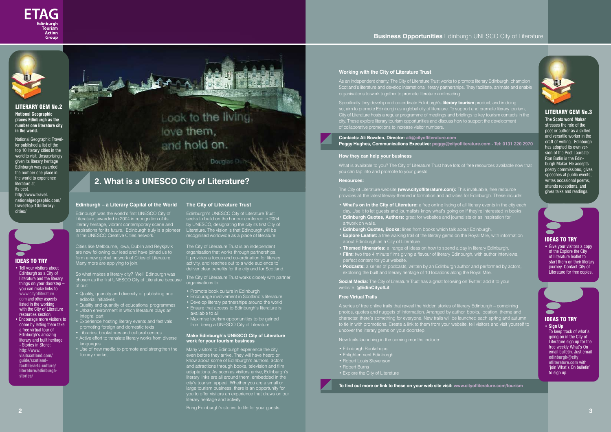#### **Edinburgh – a Literary Capital of the World**

Edinburgh was the world's first UNESCO City of Literature, awarded in 2004 in recognition of its literary heritage, vibrant contemporary scene and aspirations for its future. Edinburgh truly is a pioneer in the UNESCO Creative Cities network.

Cities like Melbourne, Iowa, Dublin and Reykjavik are now following our lead and have joined us to form a new global network of Cities of Literature. Many more are applying to join.

So what makes a literary city? Well, Edinburgh was chosen as the first UNESCO City of Literature because of our:

- Quality, quantity and diversity of publishing and editorial initiatives
- Quality and quantity of educational programmes
- Urban environment in which literature plays an
- integral part • Experience hosting literary events and festivals,
- promoting foreign and domestic texts • Libraries, bookstores and cultural centres
- 
- Active effort to translate literary works from diverse languages
- Use of new media to promote and strengthen the literary market

#### **The City of Literature Trust**

Edinburgh's UNESCO City of Literature Trust seeks to build on the honour conferred in 2004 by UNESCO, designating the city its first City of Literature. The vision is that Edinburgh will be recognised worldwide as a place of literature.

The City of Literature Trust is an independent organisation that works through partnerships. It provides a focus and co-ordination for literary activity, and reaches out to a wide audience to deliver clear benefits for the city and for Scotland.

The City of Literature Trust works closely with partner organisations to:

- Promote book culture in Edinburgh
- Encourage involvement in Scotland's literature
- Develop literary partnerships around the world
- Ensure that access to Edinburgh's literature is available to all
- Maximise tourism opportunities to be gained from being a UNESCO City of Literature

#### **Make Edinburgh's UNESCO City of Literature work for your tourism business**

Many visitors to Edinburgh experience the city even before they arrive. They will have heard or know about some of Edinburgh's authors, actors and attractions through books, television and film adaptations. As soon as visitors arrive, Edinburgh's literary links are all around them, embedded in the city's tourism appeal. Whether you are a small or large tourism business, there is an opportunity for you to offer visitors an experience that draws on our literary heritage and activity.

**Social Media:** The City of Literature Trust has a great following on Twitter: add it to your website. **@EdinCityofLit** 

Bring Edinburgh's stories to life for your guests!





#### **Working with the City of Literature Trust**

As an independent charity, The City of Literature Trust works to promote literary Edinburgh, champion Scotland's literature and develop international literary partnerships. They facilitate, animate and enable organisations to work together to promote literature and reading.

Specifically they develop and co-ordinate Edinburgh's **literary tourism** product, and in doing so, aim to promote Edinburgh as a global city of literature. To support and promote literary tourism, City of Literature hosts a regular programme of meetings and briefings to key tourism contacts in the city. These explore literary tourism opportunities and discuss how to support the development of collaborative promotions to increase visitor numbers.

- Tell your visitors about Edinburgh as a City of Literature and the literary things on your doorstep – you can make links to www.cityofliterature. com and other aspects listed in the working with the City of Literature resources section.
- Encourage more visitors to come by letting them take a free virtual tour of Edinburgh's amazing **literary and built heritage** - Stories in Stone: **http://www. visitscotland.com/ guide/scotlandfactfile/arts-culture/ literature/edinburghstories/**

• Give your visitors a copy of the Explore the City of Literature leaflet to start them on their literary journey. Contact City of Literature for free copies.

To keep track of what's going on in the City of Literature sign up for the free weekly What's On email bulletin. Just email **edinburgh@city ofliterature.com** with 'join What's On bulletin' to sign up.

**Contacts: Ali Bowden, Director: ali@cityofliterature.com Peggy Hughes, Communications Executive: peggy@cityofliterature.com - Tel: 0131 220 2970** 

#### **How they can help your business**

What is available to you? The City of Literature Trust have lots of free resources available now that you can tap into and promote to your guests.

#### **Resources:**

The City of Literature website **(www.cityofliterature.com):** This invaluable, free resource provides all the latest literary-themed information and activities for Edinburgh. These include:

- **• What's on in the City of Literature:** a free online listing of all literary events in the city each day. Use it to let guests and journalists know what's going on if they're interested in books. **• Edinburgh Quotes, Authors:** great for websites and journalists or as inspiration for
- artwork on wall
- **• Edinburgh Quotes, Books:** lines from books which talk about Edinburgh.
- **• Explore Leaflet:** a free walking trail of the literary gems on the Royal Mile, with information about Edinburgh as a City of Literature.
- **• Themed Itineraries:** a range of ideas on how to spend a day in literary Edinburgh. **• Film:** two free 4 minute films giving a flavour of literary Edinburgh, with author interviews, perfect content for your website.
- **• Podcasts:** a series of podcasts, written by an Edinburgh author and performed by actors, exploring the built and literary heritage of 10 locations along the Royal Mile.

#### **Free Virtual Trails**

A series of free online trails that reveal the hidden stories of literary Edinburgh – combining photos, quotes and nuggets of information. Arranged by author, books, location, theme and character, there's something for everyone. New trails will be launched each spring and autumn to tie in with promotions. Create a link to them from your website, tell visitors and visit yourself to uncover the literary gems on your doorstep.

New trails launching in the coming months include:

- Edinburgh Bookshops
- Enlightenment Edinburgh
- Robert Louis Stevenson
- Robert Burns
- Explore the City of Literature

**To find out more or link to these on your web site visit: www.cityofliterature.com/tourism**

#### LITERARY GEM No.3

**The Scots word Makar**  stresses the role of the poet or author as a skilled and versatile worker in the craft of writing. Edinburgh has adopted its own version of the Poet Laureate: Ron Butlin is the Edinburgh Makar. He accepts poetry commissions, gives speeches at public events, writes occasional poems, attends receptions, and gives talks and readings.





#### IDEAS TO TRY

#### IDEAS TO TRY





#### LITERARY GEM No.2

**National Geographic places Edinburgh as the number one literature city in the world.**

National Geographic Traveller published a list of the top 10 literary cities in the world to visit. Unsurprisingly given its literary heritage Edinburgh was awarded the number one place in the world to experience literature at its best. **http://www.travel. nationalgeographic.com/ travel/top-10/literarycities/** 

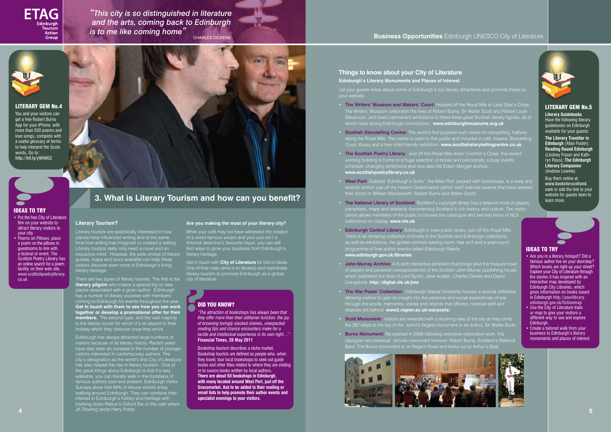#### **Literary Tourism?**

Literary tourists are specifically interested in how places have influenced writing and at the same time how writing has imagined or created a setting. Literary tourists really only need a novel and an inquisitive mind. However, the wide choice of literary guides, maps and tours available can help these visitors discover even more of Edinburgh's living literary heritage.

There are two types of literary tourists. The first is the **literary pilgrim** who makes a special trip to view places associated with a given author. Edinburgh has a number of literary societies with members channed or literary societies with members<br>ng to Edinburgh for events throughout the year. **Get in touch with them to see how you can work together or develop a promotional offer for their members.** The second type, and the vast majority, is the literary tourist for whom it's an aspect to their holiday which they discover once they arrive.

Get in touch with **City of Literature** for lots of ideas.<br>One of their main aims is to develop and coordinate One of their main aims is to develop and coordinate literary tourism to promote Edinburgh as a global city of literature.

Let your guests know about some of Edinburgh's top literary attractions and promote these on your website.

Edinburgh has always attracted large numbers of visitors because of its literary history. Recent years have also seen an increase in the number of younger visitors interested in contemporary authors. The city's designation as the world's first City of Literature has also helped the rise in literary tourism. One of the great things about Edinburgh is that it's very walkable: you can literally walk in the footsteps of famous authors past and present. Edinburgh Visitor Surveys show that 94% of leisure visitors enjoy walking around Edinburgh. They can combine their interest in Edinburgh's history and heritage with tracking down Rebus's Oxford Bar or the café where JK Rowling wrote Harry Potter. **4 5**

#### **Are you making the most of your literary city?**

While your café may not have witnessed the creation of a world-famous wizard and your pub isn't a fictional detective's favourite haunt, you can still find ways to grow your business from Edinburgh's literary heritage.

### **Business Opportunities** Edinburgh UNESCO City of Literature

**Things to know about your City of Literature Edinburgh's Literary Monuments and Places of Interest**

**POID YOU KNOW?**<br> *•The attraction of bother more than "The attraction of bookshops has always been that they offer more than their utilitarian function: the joy of browsing lovingly stacked shelves, unexpected reading tips and chance encounters make for a tactile and intellectual experience in its own right…"*  **Financial Times, 28 May 2011**

- Are you in a literary hotspot? Did a famous author live on your doorstep? Which books are right up your street? Explore your City of Literature through the stories it has inspired with an interactive map developed by Edinburgh City Libraries, which gives information on books based in Edinburgh **http://yourlibrary. edinburgh.gov.uk/fictionmap**
- Use the City of Literature trails or map to give your visitors a different way to see and explore Edinburgh.
- **Create a tailored walk from your** business to Edinburgh's literary monuments and places of interest.
- **The Writers' Museum and Makers' Court:** Housed off the Royal Mile in Lady Stair's Close, The Writers' Museum celebrates the lives of Robert Burns, Sir Walter Scott and Robert Louis Stevenson, and hosts permanent exhibitions to these three great Scottish literary figures, all of whom have strong Edinburgh connections. **www.edinburghmuseums.org.uk**
- **Scottish Storytelling Centre:** The world's first purpose-built centre for storytelling, halfway along the Royal Mile. The centre is open to the public and includes a café, theatre, Storytelling Court, library and a free child-friendly exhibition. **www.scottishstorytellingcentre.co.uk**
- **The Scottish Poetry Library:** Just off the Royal Mile down Crichton's Close, this awardwinning building is home to a huge selection of books and periodicals, a busy events schedule, changing exhibitions and now also the Edwin Morgan archive. **www.scottishpoetrylibrary.co.uk**
- **West Port:** Dubbed "Edinburgh's Soho", the West Port, packed with bookshops, is a lively and eclectic stretch just off the historic Grassmarket (which itself features taverns that have opened their doors to William Wordsworth, Robert Burns and Walter Scott).
- **The National Library of Scotland:** Scotland's copyright library has a treasure trove of papers, pamphlets, maps and artefacts documenting Scotland's rich history and culture. The visitor centre allows members of the public to browse the catalogue and see key items of NLS collections on display. **www.nls.uk**
- **Edinburgh Central Library:** Edinburgh's main public library, just off the Royal Mile. There is an amazing collection of books in the Scottish and Edinburgh collections, as well as exhibitions, the golden-domed reading room, free wi-fi and a year-round programme of free author events called Edinburgh Reads. **www.edinburgh.gov.uk/libraries**
- **John Murray Archive:** A hi-tech interactive exhibition that brings alive the treasure trove of papers and personal correspondence of the Scottish John Murray publishing house which published the likes of Lord Byron, Jane Austen, Charles Darwin and David Livingstone. **http://digital.nls.uk/jma**
- **The War Poets' Collection:** Edinburgh Napier University houses a special collection allowing visitors to gain an insight into the personal and social experiences of war through the words, memories, voices and objects that officers, medical staff and relatives left behind. **www2.napier.ac.uk/warpoets/**
- **Scott Monument:** Visitors are rewarded with a stunning view of the city as they climb the 287 steps to the top of the world's largest monument to an author, Sir Walter Scott.
- **Burns Monument:** Re-opened in 2009 following extensive restoration work, this Georgian neo-classical, circular monument honours Robert Burns, Scotland's National Bard. The Burns monument is on Regent Road and looks out to Arthur's Seat.









- Put the free City of Literature film on your website to attract literary visitors to your city.
- Poems on Pillows: place a poem on the pillows in guestrooms to link with a festival or event. The Scottish Poetry Library has an online search for a poem facility on their web site. **www.scottishpoetrylibrary. co.uk**



#### LITERARY GEM No.5

**Literary Guidebooks**  Have the following literary guidebooks on Edinburgh available for your guests:

**The Literary Traveller in Edinburgh** (Allan Foster); **Reading Round Edinburgh**  (Lindsey Fraser and Kathryn Ross); **The Edinburgh Literary Companion**  (Andrew Lownie).

Buy them online at **www.booksforscotland. com** or add the link to your website for guests keen to learn more.

Bookshop tourism describes a niche market. Bookshop tourists are defined as people who, when they travel, tour local bookshops to seek out guide books and other titles related to where they are visiting or to source books written by local authors. **There are about 50 bookshops in Edinburgh, with many located around West Port, just off the Grassmarket. Ask to be added to their mailing or email lists to help promote their author events and specialist evenings to your visitors.** 

#### IDEAS TO TRY

#### LITERARY GEM No.4

You and your visitors can get a free Robert Burns App for your iPhone, with more than 550 poems and love songs, complete with a useful glossary of terms to help interpret the Scots words. Go to: **http://bit.ly/yWh6GZ**

# **3. What is Literary Tourism and how can you benefit?**

#### IDEAS TO TRY



*"This city is so distinguished in literature and the arts, coming back to Edinburgh is to me like coming home"* CHARLES DICKENS

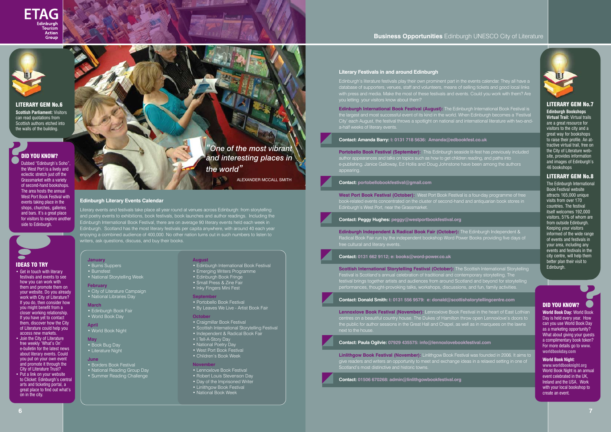



#### **Literary Festivals in and around Edinburgh**

Edinburgh's literature festivals play their own prominent part in the events calendar. They all have a database of supporters, venues, staff and volunteers, means of selling tickets and good local links with press and media. Make the most of these festivals and events. Could you work with them? Are you letting your visitors know about them?

**Edinburgh International Book Festival (August):** The Edinburgh International Book Festival is the largest and most successful event of its kind in the world. When Edinburgh becomes a 'Festival City' each August, the festival throws a spotlight on national and international literature with two-anda-half weeks of literary events.

#### **Contact: Amanda Barry: t: 0131 718 5636: Amanda@edbookfest.co.uk**

**Scottish International Storytelling Festival (October):** The Scottish International Storytelling Festival is Scotland's annual celebration of traditional and contemporary storytelling. The festival brings together artists and audiences from around Scotland and beyond for storytelling performances, thought-provoking talks, workshops, discussions, and fun, family activities.

**Portobello Book Festival (September):** This Edinburgh seaside lit-fest has previously included author appearances and talks on topics such as how to get children reading, and paths into e-publishing. Janice Galloway, Ed Hollis and Doug Johnstone have been among the authors appearing.

#### **Contact: portobellobookfestival@gmail.com**

**West Port Book Festival (October):** West Port Book Festival is a four-day programme of free book-related events concentrated on the cluster of second-hand and antiquarian book stores in Edinburgh's West Port, near the Grassmarket.

**Contact: Peggy Hughes: peggy@westportbookfestival.org**

**Edinburgh Independent & Radical Book Fair (October):** The Edinburgh Independent & Radical Book Fair run by the independent bookshop Word Power Books providing five days of

**Contact: 0131 662 9112; e: books@word-power.co.uk**

**World Book Day:** World Book Day is held every year. How can you use World Book Day as a marketing opportunity? What about giving your guests a complimentary book token? For more details go to **www. worldbookday.com ?**<br> **Prid Book** 

**Contact: Donald Smith: t: 0131 556 9579: e: donald@scottishstorytellingcentre.com**

**Lennoxlove Book Festival (November):** Lennoxlove Book Festival in the heart of East Lothian centres on a beautiful country house. The Dukes of Hamilton throw open Lennoxlove's doors to the public for author sessions in the Great Hall and Chapel, as well as in marquees on the lawns next to the house.

- Borders Book Festival • National Reading Group Day
- Summer Reading Challenge

**Contact: Paula Ogilvie: 07929 435575: info@lennoxlovebookfestival.com**

- Portobello Book Festival
- By Leaves We Live Artist Book Fair

**Linlithgow Book Festival (November):** Linlithgow Book Festival was founded in 2006. It aims to give readers and writers an opportunity to meet and exchange ideas in a relaxed setting in one of Scotland's most distinctive and historic towns.

**Contact: 01506 670268: admin@linlithgowbookfestival.org** 

**Edinburgh Literary Events Calendar**

#### • Get in touch with literary festivals and events to see how you can work with them and promote them on your website. Do you already work with City of Literature? If you do, then consider how you might benefit from a closer working relationship. If you have yet to contact them, discover how the City of Literature could help you access new markets.

- Join the City of Literature free weekly 'What's On' e-bulletin for the latest news about literary events. Could you put on your own event and promote it through the City of Literature Trust?
- Put a link on your website to Clicket: Edinburgh's central arts and ticketing portal, a great place to find out what's on in the city.

Literary events and festivals take place all year round at venues across Edinburgh: from storytelling and poetry events to exhibitions, book festivals, book launches and author readings. Including the Edinburgh International Book Festival, there are on average 90 literary events held each week in Edinburgh. Scotland has the most literary festivals per capita anywhere, with around 40 each year enjoying a combined audience of 400,000. No other nation turns out in such numbers to listen to writers, ask questions, discuss, and buy their books.

# *'One of the most vibrant and interesting places in the world"*

#### LITERARY GEM No.7

**Edinburgh Bookshops Virtual Trail:** Virtual trails are a great resource for visitors to the city and a great way for bookshops to raise their profile. An attractive virtual trail, free on the City of Literature website, provides information and images of Edinburgh's 46 bookshops

#### LITERARY GEM No.8

The Edinburgh International Book Festival website attracts 165,000 unique visits from over 170 countries. The festival itself welcomes 192,000 visitors, 51% of whom are from outside Edinburgh. Keeping your visitors informed of the wide range of events and festivals in your area, including any events and festivals in the city centre, will help them better plan their visit to Edinburgh.



**World Book Night:**

**www.worldbooknight.org** World Book Night is an annual event celebrated in the UK, Ireland and the USA. Work with your local bookshop to create an event.

#### **January**

• Burns Suppers • Burnsfest • National Storytelling Week

#### **February**

• City of Literature Campaign • National Libraries Day

#### **March**

• Edinburgh Book Fair • World Book Day

#### **April** • World Book Night

- **May** • Book Bug Day
- Literature Night

#### **June**

#### **August**

- Edinburgh International Book Festival
- Emerging Writers Programme
- Edinburgh Book Fringe
- Small Press & Zine Fair
- Inky Fingers Mini Fest

#### **September**

#### **October**

- Craigmillar Book Festival
- Scottish International Storytelling Festival
- Independent & Radical Book Fair
- I Tell-A-Story Day
- National Poetry Day
- West Port Book Festival
- Children's Book Week

#### **November**

- Lennoxlove Book Festival
- Robert Louis Stevenson Day
- Day of the Imprisoned Writer
- Linlithgow Book Festival
- National Book Week



#### LITERARY GEM No.6

**Scottish Parliament:** Visitors can read quotations from Scottish authors etched into the walls of the building.

**POD YOU KNOW?**<br>Dubbed "Edinburgh's<br>the West Port is a live Dubbed "Edinburgh's Soho", the West Port is a lively and eclectic stretch just off the Grassmarket with a variety of second-hand bookshops. The area hosts the annual West Port Book Festival with events taking place in the shops, churches, galleries and bars. It's a great place for visitors to explore another side to Edinburgh.

# ALEXANDER MCCALL SMITH

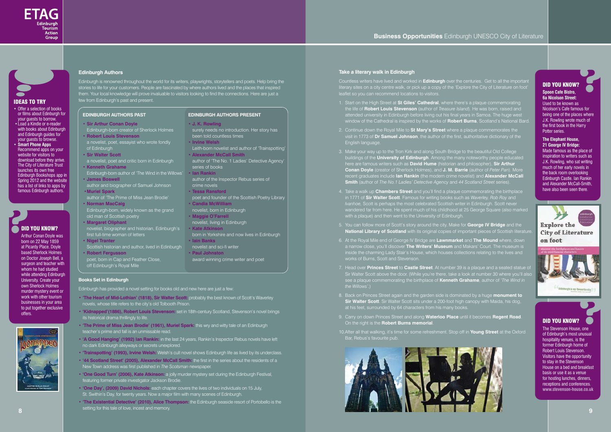



#### **Edinburgh Authors**



Edinburgh is renowned throughout the world for its writers, playwrights, storytellers and poets. Help bring the stories to life for your customers. People are fascinated by where authors lived and the places that inspired them. Your local knowledge will prove invaluable to visitors looking to find the connections. Here are just a few from Edinburgh's past and present.

#### **Books Set in Edinburgh**

Edinburgh has provided a novel setting for books old and new here are just a few:

- **• 'The Heart of Mid-Lothian' (1818), Sir Walter Scott:** probably the best known of Scott's Waverley novels, whose title refers to the city's old Tolbooth Prison.
- **'Kidnapped'(1886), Robert Louis Stevenson:** set in 18th-century Scotland, Stevenson's novel brings its historical drama thrillingly to life.
- **'The Prime of Miss Jean Brodie' (1961), Muriel Spark:** this wry and witty tale of an Edinburgh teacher's prime and fall is an unmissable read.
- **'A Good Hanging' (1992) Ian Rankin:** in the last 24 years, Rankin's Inspector Rebus novels have left no dark Edinburgh alleyways or secrets unexplored.
- **'Trainspotting' (1993), Irvine Welsh:** Welsh's cult novel shows Edinburgh life as lived by its underclass.
- **• '44 Scotland Street' (2005), Alexander McCall Smith:** the first in the series about the residents of a New Town address was first published in *The Scotsman* newspaper.
- **• 'One Good Turn' (2006), Kate Atkinson:** a jolly murder mystery set during the Edinburgh Festival, featuring former private investigator Jackson Brodie.
- **• 'One Day', (2009) David Nichols:** each chapter covers the lives of two individuals on 15 July, St. Swithin's Day, for twenty years. Now a major film with many scenes of Edinburgh.
- **• 'The Existential Detective' (2010), Alice Thompson:** the Edinburgh seaside resort of Portobello is the setting for this tale of love, incest and memory.

#### **Take a literary walk in Edinburgh**

Countless writers have lived and worked in **Edinburgh** over the centuries. Get to all the important literary sites on a city centre walk, or pick up a copy of the 'Explore the City of Literature on foot' leaflet so you can recommend locations to visitors.

- Offer a selection of books or films about Edinburgh for
- your guests to borrow. • Load a Kindle or e-reader with books about Edinburgh and Edinburgh guides for your guests to browse.
- • **Smart Phone Apps** Recommend apps on your website for visitors to download before they arrive. The City of Literature Trust launches its own free Edinburgh Bookshops app in Spring 2012 and the website has a list of links to apps by famous Edinburgh authors.

# **POLICY YOU KNOW?**<br>Arthur Conan Doyle v<br>born on 22 May 1859

- 1. Start on the High Street at **St Giles' Cathedral**, where there's a plaque commemorating the life of **Robert Louis Stevenson** (author of *Treasure Island*). He was born, raised and attended university in Edinburgh before living out his final years in Samoa. The huge west window of the Cathedral is inspired by the works of **Robert Burns**, Scotland's National Bard.
- 2. Continue down the Royal Mile to **St Mary's Street** where a plaque commemorates the visit in 1773 of **Dr Samuel Johnson**, the author of the first, authoritative dictionary of the English language.
- 3. Make your way up to the Tron Kirk and along South Bridge to the beautiful Old College buildings of the **University of Edinburgh**. Among the many noteworthy people educated here are famous writers such as **David Hume** (historian and philosopher), **Sir Arthur Conan Doyle** (creator of Sherlock Holmes), and **J. M. Barrie** (author of *Peter Pan*). More recent graduates include **Ian Rankin** (the modern crime novelist) and **Alexander McCall Smith** (author of *The No.1 Ladies' Detective Agency* and *44 Scotland Street* series).
- 4. Take a walk up **Chambers Street** and you'll find a plaque commemorating the birthplace in 1771 of **Sir Walter Scott**. Famous for writing books such as *Waverley, Rob Roy* and *Ivanhoe,* Scott is perhaps the most celebrated Scottish writer in Edinburgh. Scott never wandered far from here. He spent much of his childhood at 25 George Square (also marked with a plaque) and then went to the University of Edinburgh.
- 5. You can follow more of Scott's story around the city. Make for **George IV Bridge** and the **National Library of Scotland** with its original copies of important pieces of Scottish literature
- 6. At the Royal Mile end of George IV Bridge are **Lawnmarket** and **The Mound** where, down a narrow close, you'll discover **The Writers' Museum** and Makars' Court. The museum is inside the charming Lady Stair's House, which houses collections relating to the lives and works of Burns, Scott and Stevenson.
- 7. Head over **Princes Street** to **Castle Street**. At number 39 is a plaque and a seated statue of Sir Walter Scott above the door. (While you're there, take a look at number 30 where you'll also see a plaque commemorating the birthplace of **Kenneth Grahame**, author of '*The Wind in the Willows'.*)
- 8. Back on Princes Street again and the garden side is dominated by a huge **monument to Sir Walter Scott**. Sir Walter Scott sits under a 200-foot high canopy with Maida, his dog, at his feet, surrounded by 64 characters from his many books.
- 9. Carry on down Princes Street and along **Waterloo Place** until it becomes **Regent Road**. On the right is the **Robert Burns memorial**.
- 10.After all that walking, it's time for some refreshment. Stop off in **Young Street** at the Oxford Bar, Rebus's favourite pub.

#### IDEAS TO TRY

Arthur Conan Doyle was born on 22 May 1859 at Picardy Place. Doyle based Sherlock Holmes on Doctor Joseph Bell, a surgeon and teacher with whom he had studied while attending Edinburgh University. Create your own Sherlock Holmes murder mystery event or work with other tourism businesses in your area to put together exclusive offers.



#### DID YOU KNOW?

#### **The Elephant House, 21 George IV Bridge:**

**Spoon Cafe Bistro, 6a Nicolson Street:** Used to be known as Nicolson's Cafe famous for being one of the places where J.K. Rowling wrote much of the first book in the Harry Potter series. **?**

Made famous as the place of inspiration to writers such as J.K. Rowling, who sat writing much of her early novels in the back room overlooking Edinburgh Castle. Ian Rankin and Alexander McCall-Smith, have also been seen there.

#### DID YOU KNOW?

The Stevenson House, one of Edinburgh's most unusual hospitality venues, is the former Edinburgh home of Robert Louis Stevenson. Visitors have the opportunity to stay in the Stevenson House on a bed and breakfast basis or use it as a venue for hosting lunches, dinners, receptions and conferences. **www.stevenson-house.co.uk** 



#### **EDINBURGH AUTHORS PAST**

- **• Sir Arthur Conan Doyle Edinburgh-born** creator of Sherlock Holmes
- **• Robert Louis Stevenson** a novelist, poet, essayist who wrote fondly
- of Edinburgh **• Sir Walter Scott**
- a novelist, poet and critic born in Edinburgh **• Kenneth Grahame**
- Edinburgh-born author of 'The Wind in the Willows' **• Ian Rankin** • **James Boswell** author and biographer of Samuel Johnson
- **• Muriel Spark** author of 'The Prime of Miss Jean Brodie'
- **• Norman MacCaig** Edinburgh-born, widely known as the grand
- old man of Scottish poetry **• Margaret Oliphant** novelist, biographer and historian, Edinburgh's
- first full-time woman of letters
- **• Nigel Tranter** Scottish historian and author, lived in Edinburgh
- **• Robert Fergusson**
- poet, born in Cap and Feather Close, off Edinburgh's Royal Mile

#### **EDINBURGH AUTHORS PRESENT**

- **• J. K. Rowling**
- surely needs no introduction. Her story has been told countless times
- **Irvine Welsh**
- Leith-born novelist and author of 'Trainspotting' **• Alexander McCall Smith**
- author of 'The No. 1 Ladies' Detective Agency' series of books
- author of the Inspector Rebus series of crime novels
- **• Tessa Ransford**
- poet and founder of the Scottish Poetry Library **• Candia McWilliam**
- novelist, born in Edinburgh
- **• Maggie O'Farrell** novelist, living in Edinburgh
- **• Kate Atkinson**
- born in Yorkshire and now lives in Edinburgh **• Iain Banks**
- novelist and sci-fi writer
- **• Paul Johnston** award winning crime writer and poet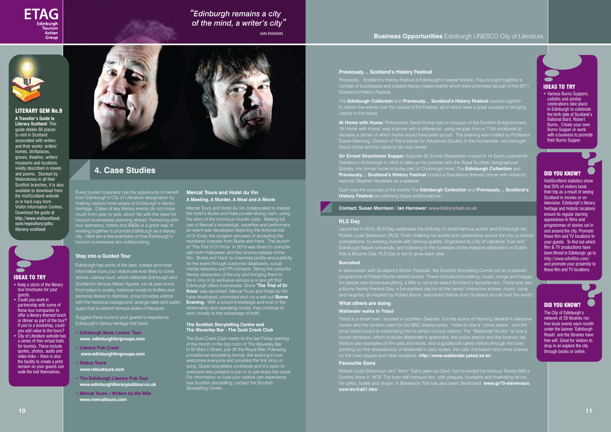Every tourism business has the opportunity to benefit from Edinburgh's City of Literature designation by making visitors more aware of Edinburgh's literary heritage. Dates of key literary events do not move much from year to year, which fits with the need for tourism businesses planning ahead. Partnering with tour operators, hotels and B&Bs is a great way of working together to promote Edinburgh as a literary city. Here are a few examples of how Edinburgh's tourism businesses are collaborating.

#### **Step into a Guided Tour**

Edinburgh has some of the best, liveliest and most informative tours your visitors are ever likely to come across. Literary tours, which celebrate Edinburgh and Scotland's famous literary figures, run all year round. From plays to poetry, historical novels to thrillers and personal diaries to diatribes, a tour provides visit with the historical background, strange tales and quirky quips that lie behind famous works of literature.

Suggest these tours to your guests to experience Edinburgh's literary heritage first hand.

- **• Edinburgh Book Lovers' Tour www. edinburghforgroups.com**
- **• Literary Pub Crawl www.edinburghforgroups.com**
- **• Rebus Tours www.rebustours.com**
- **• The Edinburgh Literary Pub Tour www.edinburghliterarypubtour.co.uk**
- **• Mercat Tours – Writers by the Mile www.mercattours.com**

#### **Mercat Tours and Hotel du Vin A Meeting, A Murder, A Meal and A Movie**

Previously…Scotland's History Festival is Edinburgh's newest festival. They brought together a number of businesses and created literary based events which were promoted as part of the 2011 **Hamber of businesses and**<br>. Scotland's History Festiva

Mercat Tours and Hotel du Vin collaborated to market the hotel's Burke and Hare private dining room, using the story of the notorious murder case. Making full use of Mercat's knowledge, expertise and performers, an event was developed depicting the fictional trial of Dr Knox, the surgeon accused of accepting the murdered corpses from Burke and Hare. The launch of 'The Trial of Dr Knox' in 2010 was timed to coincide with both Halloween and the cinema release of the film, 'Burke and Hare' to maximise profile and publicity for the event through customer databases, social media networks and PR contacts. Taking the colourful literary characters of the city and bringing them to life in one of its exclusive venues is a rare gift that Edinburgh offers businesses. Since **'The Trial of Dr Knox'** was launched, Mercat Tours and Hotel du Vin have developed, promoted and run a sell-out **Burns Evening.** With a sound knowledge and trust in the relationship and operating model, they continue to work closely to the advantage of both.

**Sir Ernest Shackleton Supper:** Explorer Sir Ernest Shackleton moved to 14 South Learmonth Gardens in Edinburgh in 1904 to take up his position with the Royal Scottish Geographical Society. His former home is today part of Channings Hotel. The **Edinburgh Collection** and **Previously… Scotland's History Festival** hosted a Shackleton-themed dinner with Antarctic explorer Stephen Venables as a spea

#### **The Scottish Storytelling Centre and The Waverley Bar - The Guid Crack Club**

The Guid Crack Club meets on the last Friday evening of the month in the top room of The Waverley Bar in St Mary's Street, just off the Royal Mile. Following a traditional storytelling format, the evening's host welcomes everyone and provides the first story or song. Guest storytellers contribute and it's open to everyone else present to join in or just enjoy the crack. For information on how your visitors can experience real Scottish storytelling, contact the Scottish Storytelling Centre.

#### **Business Opportunities** Edinburgh UNESCO City of Literature



#### DID YOU KNOW?

The City of Edinburgh's network of 28 libraries run free book events each month under the banner 'Edinburgh Reads' and the libraries have free wifi. Great for visitors to drop in an explore the city through books or online.



#### **Previously… Scotland's History Festival**

The **Edinburgh Collection** and **Previously… Scotland's History Festival** worked together to deliver five events over the course of the Festival, all of which were a great success in bringing visitors to the hotels.

> VisitScotland statistics show that 20% of visitors book their trip as a result of seeing Scotland in movies or on television. Edinburgh's literary heritage and historic locations ensure its regular starring appearance in films and programmes of stories set in and around the city. Promote these film and TV locations to your guests. To find out which film & TV productions have been filmed in Edinburgh, go to **http://www.edinfilm.com/**  and promote your proximity to these film and TV locations. **8**<br>**8**<br>**8**<br>**8**<br>**8**<br>**8**<br>**8**<br>**8**

**At Home with Hume:** Philosopher David Hume was a colossus of the Scottish Enlightenment. 'At Home with Hume' was a dinner with a difference, using recipes from a 1755 cookbook to recreate a dinner of which Hume would have been proud. The evening was hosted by Professor Susan Manning, Director of The Institute for Advanced Studies in the Humanities, who brought

Such was the success of the events The **Edinburgh Collection** and **Previously… Scotland's History Festival** are planning future collaborations.

**Contact: Susan Morrison / Ian Harrower: www.historyfest.co.uk**

#### **RLS Day**

Launched in 2010, RLS Day celebrates the birthday of world-famous author and Edinburgh lad, Robert Louis Stevenson (RLS). From chalking his words onto pavements across the city, to school competitions, to evening events with famous guests. Organised by City of Literature Trust and Edinburgh Napier University, and following in the footsteps of the massive celebration in Dublin that is Blooms Day, RLS Day is set to grow each year.

#### **Burnsfest**

programme of Robert Burns related events. These included storytelling, music, songs and haggis for people who know everything, a little or not a lot about Scotland's favourite son. There was also a Burns Family Festival Day; a fun-packed day for all the family! Interactive stories, music, song and laughter, all inspired by Robert Burns, welcomed friends from Scotland and all over the world!

#### **What others are doing**

#### **Wallander walks in Ystad**

Ystad is a small town, situated in southern Sweden. It is the scene of Henning Mankell's detective novels and the location used for the BBC drama series. Ystad is now a "crime scene", and the local tourist board is maximising this to attract curious visitors. The "Wallander Studio" is now a tourist attraction, which includes Wallander's apartment, the police station and the forensic lab. Visitors see examples of film sets and shots, and a guidebook takes visitors through the town pointing out the whereabouts of Wallander's daily routes, the café, the beach and crime scenes on the town square and other locations. **http://www.wallander.ystad.se/en**

#### **Favourite Sons**

Robert Louis Stevenson isn't "from" Saint Jean-du-Gard, but he ended his famous *Travels With a Donkey* there in 1878. The town still honours him, with plaques, fountains and marketing tie-ins for cafés, hotels and shops. A Stevenson Trail has also been developed: **www.gr70-stevenson. com/en/trail1.htm**

#### IDEAS TO TRY

- Keep a stock of the literary tour brochures for your guests.
- Could you work in partnership with some of these tour companies to offer a literary-themed lunch or dinner as part of the tour? If you're a bookshop, could you add value to the tours?
- City of Literature website has a series of free virtual trails for tourists. These include quotes, photos, audio and video links – there is also the facility to create a print version so your guests can walk the trail themselves.





#### LITERARY GEM No.9

**A Traveller's Guide to Literary Scotland:** This guide details 60 places to visit in Scotland associated with writers and their works: writers' homes, birthplaces, graves, theatres, writers' museums and locations vividly described in novels and poems. Stocked by Waterstones in all their Scottish branches, it is also available to download from the VisitScotland website or in hard copy from Visitor Information Centres. Download the quide at **http://www.visitscotland. com/repository/pdfs/ literary-scotland**



# **4. Case Studies**



# *"Edinburgh remains a city of the mind, a writer's city"*

IAN RANKIN

#### DID YOU KNOW?

#### IDEAS TO TRY

• Various Burns Suppers, ceilidhs and similar celebrations take place in Edinburgh to celebrate the birth date of Scotland's National Bard, Robert Burns. Create your own Burns Supper or work with a business to promote their Burns Supper.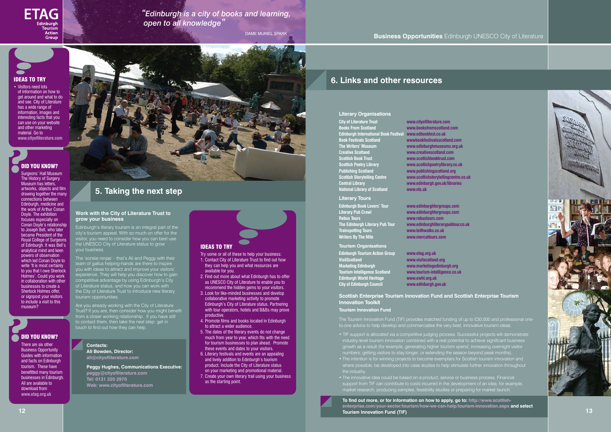#### **Business Opportunities** Edinburgh UNESCO City of Literature

#### **Literary Organisations**

**The Writers' Museum www.edinburghmuseums.org.uk**



**City of Literature Trust www.cityofliterature.com Books From Scotland www.booksfromscotland.com Edinburgh International Book Festival www.edbookfest.co.uk Book Festivals Scotland wwwbookfestivalsscotland.com CREAT CONSUMING CONSUMING CONSUMING CONSUMING CONSUMING CONSUMING CONSUMING CONSUMING CONSUMING CONSUMING CONSUMING CONSUMING CONSUMING CONSUMING CONSUMING CONSUMING CONSUMING CONSUMING CONSUMING CONSUMING CONSUMING CONSU Scottish Poetry Library www.scottishpoetrylibrary.co.uk Publishing Scotland www.publishingscotland.org Scottish Storytelling Centre www.scottishstorytellingcentre.co.uk Central Library www.edinburgh.gov.uk/libraries National Library of Scotland www.nls.uk**

**Scottish Book Trust www.scottishbooktrust.com**

**VisitScotland www.visitscotland.org**  www.tourism-intelligence.co.uk

**Literary Tours Edinburgh Book Lovers' Tour www.edinburghforgroups.com Literary Pub Crawl www.edinburghforgroups.com Rebus Tours www.rebustours.com The Edinburgh Literary Pub Tour www.edinburghliterarypubtour.co.uk**

**Trainspotting Tours www.leithwalks.co.uk Writers By The Mile www.mercattours.com** 

#### **Tourism Organisations**

**Edinburgh Tourism Action Group www.etag.org.uk Marketing Edinburgh www.marketingedinburgh.org Edinburgh World Heritage www.ewht.org.uk City of Edinburgh Council www.edinburgh.gov.uk**

**Scottish Enterprise Tourism Innovation Fund and Scottish Enterprise Tourism Innovation Toolkit**

**12 13 To find out more, or for information on how to apply, go to: http://www.scottishenterprise.com/your-sector/tourism/how-we-can-help/tourism-innovation.aspx and select Tourism Innovation Fund (TIF)**

**Tourism Innovation Fund**

The Tourism Innovation Fund (TIF) provides matched funding of up to £30,000 and professional oneto-one advice to help develop and commercialise the very best, innovative tourism ideas.

- TIF support is allocated via a competitive judging process. Successful projects will demonstrate industry-level tourism innovation combined with a real potential to achieve significant business growth as a result (for example, generating higher tourism spend; increasing overnight visitor numbers; getting visitors to stay longer; or extending the season beyond peak months).
- The intention is for winning projects to become exemplars for Scottish tourism innovation and where possible, be developed into case studies to help stimulate further innovation throughout
- The innovative idea could be based on a product, service or business process. Financial support from TIF can contribute to costs incurred in the development of an idea; for example, market research, producing samples, feasibility studies or preparing for market launch.

#### **Work with the City of Literature Trust to grow your business**

Edinburgh's literary tourism is an integral part of the city's tourism appeal. With so much on offer for the visitor, you need to consider how you can best use the UNESCO City of Literature status to grow your business.

**POID YOU KNOW?**<br>
Surgeons' Hall Museu<br>
The History of Surger Surgeons' Hall Museum The History of Surgery Museum has letters, artworks, objects and film drawing together the many connections between Edinburgh, medicine and the work of Arthur Conan Doyle. The exhibition focuses especially on Conan Doyle's relationship to Joseph Bell, who later became President of the Royal College of Surgeons of Edinburgh. It was Bell's analytical mind and keen powers of observation which led Conan Doyle to write 'It is most certainly to you that I owe Sherlock Holmes'. Could you work in collaboration with other businesses to create a Sherlock Holmes offer, or signpost your visitors to include a visit to this museum?

#### **<sup>2</sup>** DID YOU KNOW?

• VisItors need lots of information on how to get around and what to do and see. City of Literature has a wide range of information, images and interesting facts that you can use on your website and other marketing material. Go to **www.cityofliterature.com**

The 'sonsie ninjas' - that's Ali and Peggy with their team of gallus helping-hands are there to inspire you with ideas to attract and improve your visitors' experience. They will help you discover how to gain competitive advantage by using Edinburgh's City of Literature status, and how you can work with the City of Literature Trust to introduce new literary tourism opportunities.

Are you already working with the City of Literature Trust? If you are, then consider how you might benefit from a closer working relationship. If you have still to contact them, then take the next step: get in touch to find out how they can help.

#### **Contacts: Ali Bowden, Director:**

**ali@cityofliterature.com**

**Peggy Hughes, Communications Executive: peggy@cityofliterature.com Tel: 0131 220 2970 Web: www.cityofliterature.com**

#### IDEAS TO TRY

- Try some or all of these to help your business: 1. Contact City of Literature Trust to find out how they can help you and what resources are available for you.
- 2. Find out more about what Edinburgh has to offer as UNESCO City of Literature to enable you to recommend the hidden gems to your visitors.
- 3. Look for like-minded businesses and develop collaborative marketing activity to promote Edinburgh's City of Literature status. Partnering with tour operators, hotels and B&Bs may prove productive.
- 4. Promote films and books located in Edinburgh to attract a wider audience.
- 5. The dates of the literary events do not change much from year to year, which fits with the need for tourism businesses to plan ahead. Promote these events and dates to your visitors.
- 6. Literary festivals and events are an appealing and lively addition to Edinburgh's tourism product. Include the City of Literature status on your marketing and promotional material.
- 7. Create your own literary trail using your business as the starting point.

# **5. Taking the next step**

There are six other Business Opportunity Guides with information and facts on Edinburgh tourism. These have benefitted many tourism businesses in Edinburgh. All are available to download from **www.etag.org.uk**



#### IDEAS TO TRY

# **6. Links and other resources**



*"Edinburgh is a city of books and learning, open to all knowledge"*

DAME MURIEL SPARK